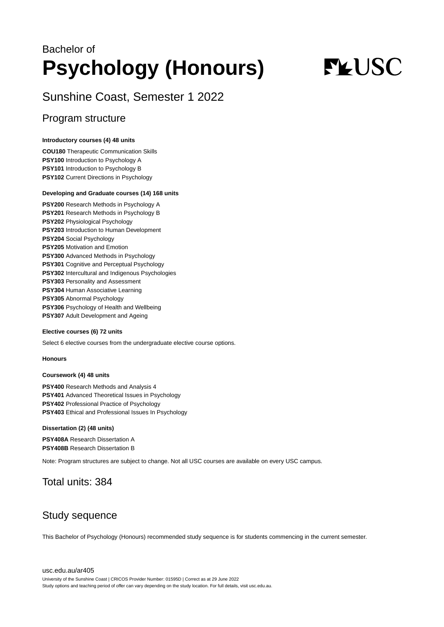## Bachelor of **Psychology (Honours)**

# **FLUSC**

Sunshine Coast, Semester 1 2022

## Program structure

#### **Introductory courses (4) 48 units**

**COU180** Therapeutic Communication Skills **PSY100** Introduction to Psychology A **PSY101** Introduction to Psychology B **PSY102** Current Directions in Psychology

#### **Developing and Graduate courses (14) 168 units**

**PSY200** Research Methods in Psychology A **PSY201** Research Methods in Psychology B **PSY202** Physiological Psychology **PSY203** Introduction to Human Development **PSY204** Social Psychology **PSY205** Motivation and Emotion **PSY300** Advanced Methods in Psychology **PSY301** Cognitive and Perceptual Psychology **PSY302** Intercultural and Indigenous Psychologies **PSY303** Personality and Assessment **PSY304** Human Associative Learning **PSY305** Abnormal Psychology **PSY306** Psychology of Health and Wellbeing **PSY307** Adult Development and Ageing

#### **Elective courses (6) 72 units**

Select 6 elective courses from the undergraduate elective course options.

#### **Honours**

#### **Coursework (4) 48 units**

**PSY400** Research Methods and Analysis 4 **PSY401** Advanced Theoretical Issues in Psychology **PSY402** Professional Practice of Psychology **PSY403** Ethical and Professional Issues In Psychology

#### **Dissertation (2) (48 units)**

**PSY408A** Research Dissertation A **PSY408B** Research Dissertation B

Note: Program structures are subject to change. Not all USC courses are available on every USC campus.

### Total units: 384

## Study sequence

This Bachelor of Psychology (Honours) recommended study sequence is for students commencing in the current semester.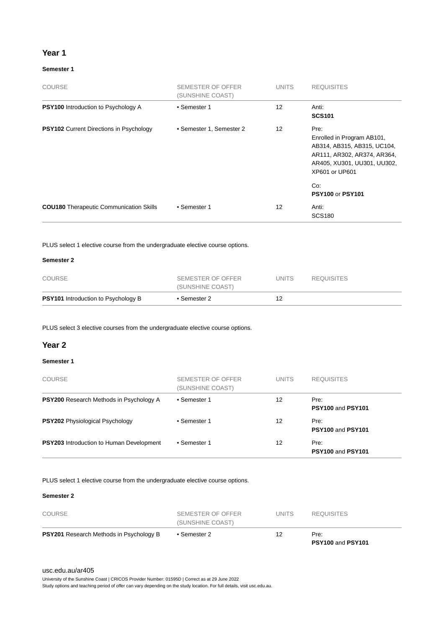#### **Year 1**

#### **Semester 1**

| <b>COURSE</b>                                  | SEMESTER OF OFFER<br>(SUNSHINE COAST) | <b>UNITS</b> | <b>REQUISITES</b>                                                                                                                                        |
|------------------------------------------------|---------------------------------------|--------------|----------------------------------------------------------------------------------------------------------------------------------------------------------|
| <b>PSY100</b> Introduction to Psychology A     | • Semester 1                          | 12           | Anti:<br><b>SCS101</b>                                                                                                                                   |
| <b>PSY102</b> Current Directions in Psychology | • Semester 1, Semester 2              | 12           | Pre:<br>Enrolled in Program AB101,<br>AB314, AB315, AB315, UC104,<br>AR111, AR302, AR374, AR364,<br>AR405, XU301, UU301, UU302,<br>XP601 or UP601<br>Co: |
| <b>COU180</b> Therapeutic Communication Skills | • Semester 1                          | 12           | <b>PSY100 or PSY101</b><br>Anti:<br><b>SCS180</b>                                                                                                        |

PLUS select 1 elective course from the undergraduate elective course options.

#### **Semester 2**

| <b>PSY101</b> Introduction to Psychology B | • Semester 2                          |       |                   |  |
|--------------------------------------------|---------------------------------------|-------|-------------------|--|
| COURSE                                     | SEMESTER OF OFFER<br>(SUNSHINE COAST) | UNITS | <b>REQUISITES</b> |  |

PLUS select 3 elective courses from the undergraduate elective course options.

#### **Year 2**

#### **Semester 1**

| <b>COURSE</b>                                   | SEMESTER OF OFFER<br>(SUNSHINE COAST) | <b>UNITS</b> | <b>REQUISITES</b>         |
|-------------------------------------------------|---------------------------------------|--------------|---------------------------|
| <b>PSY200</b> Research Methods in Psychology A  | • Semester 1                          | 12           | Pre:<br>PSY100 and PSY101 |
| <b>PSY202</b> Physiological Psychology          | • Semester 1                          | 12           | Pre:<br>PSY100 and PSY101 |
| <b>PSY203</b> Introduction to Human Development | • Semester 1                          | 12           | Pre:<br>PSY100 and PSY101 |

PLUS select 1 elective course from the undergraduate elective course options.

#### **Semester 2**

| <b>PSY201</b> Research Methods in Psychology B | • Semester 2                          | 12    | Pre:              |  |
|------------------------------------------------|---------------------------------------|-------|-------------------|--|
| COURSE                                         | SEMESTER OF OFFER<br>(SUNSHINE COAST) | UNITS | <b>REQUISITES</b> |  |

#### [usc.edu.au/ar405](https://www.usc.edu.au/ar405)

University of the Sunshine Coast | CRICOS Provider Number: 01595D | Correct as at 29 June 2022

Study options and teaching period of offer can vary depending on the study location. For full details, visit usc.edu.au.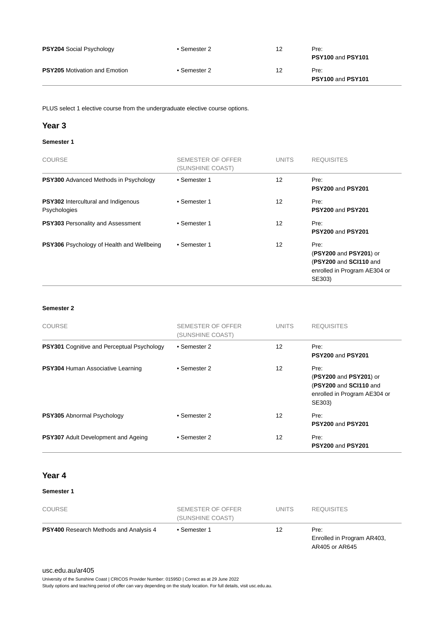| <b>PSY204 Social Psychology</b>      | • Semester 2 | 12 | Pre:<br>PSY100 and PSY101 |
|--------------------------------------|--------------|----|---------------------------|
| <b>PSY205</b> Motivation and Emotion | • Semester 2 | 12 | Pre:<br>PSY100 and PSY101 |

PLUS select 1 elective course from the undergraduate elective course options.

#### **Year 3**

#### **Semester 1**

| <b>COURSE</b>                                              | SEMESTER OF OFFER<br>(SUNSHINE COAST) | <b>UNITS</b> | <b>REQUISITES</b>                                                                                  |
|------------------------------------------------------------|---------------------------------------|--------------|----------------------------------------------------------------------------------------------------|
| <b>PSY300</b> Advanced Methods in Psychology               | • Semester 1                          | 12           | Pre:<br>PSY200 and PSY201                                                                          |
| <b>PSY302</b> Intercultural and Indigenous<br>Psychologies | • Semester 1                          | 12           | Pre:<br>PSY200 and PSY201                                                                          |
| <b>PSY303</b> Personality and Assessment                   | • Semester 1                          | 12           | Pre:<br>PSY200 and PSY201                                                                          |
| PSY306 Psychology of Health and Wellbeing                  | • Semester 1                          | 12           | Pre:<br>(PSY200 and PSY201) or<br>(PSY200 and SCI110 and<br>enrolled in Program AE304 or<br>SE303) |

#### **Semester 2**

| <b>COURSE</b>                                     | SEMESTER OF OFFER<br>(SUNSHINE COAST) | <b>UNITS</b> | <b>REQUISITES</b>                                                                                  |
|---------------------------------------------------|---------------------------------------|--------------|----------------------------------------------------------------------------------------------------|
| <b>PSY301</b> Cognitive and Perceptual Psychology | • Semester 2                          | 12           | Pre:<br><b>PSY200 and PSY201</b>                                                                   |
| PSY304 Human Associative Learning                 | • Semester 2                          | 12           | Pre:<br>(PSY200 and PSY201) or<br>(PSY200 and SCI110 and<br>enrolled in Program AE304 or<br>SE303) |
| <b>PSY305</b> Abnormal Psychology                 | • Semester 2                          | 12           | Pre:<br><b>PSY200 and PSY201</b>                                                                   |
| <b>PSY307</b> Adult Development and Ageing        | • Semester 2                          | 12           | Pre:<br><b>PSY200 and PSY201</b>                                                                   |

#### **Year 4**

#### **Semester 1**

| <b>COURSE</b>                                 | SEMESTER OF OFFER<br>(SUNSHINE COAST) | <b>UNITS</b> | <b>REQUISITES</b>                                    |
|-----------------------------------------------|---------------------------------------|--------------|------------------------------------------------------|
| <b>PSY400</b> Research Methods and Analysis 4 | • Semester 1                          | 12           | Pre:<br>Enrolled in Program AR403,<br>AR405 or AR645 |

#### [usc.edu.au/ar405](https://www.usc.edu.au/ar405)

University of the Sunshine Coast | CRICOS Provider Number: 01595D | Correct as at 29 June 2022

Study options and teaching period of offer can vary depending on the study location. For full details, visit usc.edu.au.